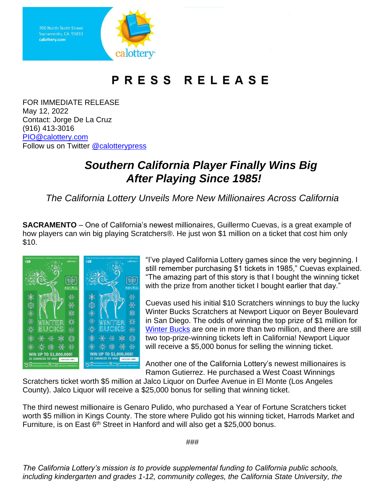

## PRESS RELEASE

FOR IMMEDIATE RELEASE May 12, 2022 Contact: Jorge De La Cruz (916) 413-3016 [PIO@calottery.com](mailto:PIO@calottery.com) Follow us on Twitter [@calotterypress](https://twitter.com/calotterypress)

## *Southern California Player Finally Wins Big After Playing Since 1985!*

*The California Lottery Unveils More New Millionaires Across California*

**SACRAMENTO** – One of California's newest millionaires, Guillermo Cuevas, is a great example of how players can win big playing Scratchers®. He just won \$1 million on a ticket that cost him only \$10.



"I've played California Lottery games since the very beginning. I still remember purchasing \$1 tickets in 1985," Cuevas explained. "The amazing part of this story is that I bought the winning ticket with the prize from another ticket I bought earlier that day."

Cuevas used his initial \$10 Scratchers winnings to buy the lucky Winter Bucks Scratchers at Newport Liquor on Beyer Boulevard in San Diego. The odds of winning the top prize of \$1 million for [Winter Bucks](https://www.calottery.com/scratchers/$10/winter-bucks-1489) are one in more than two million, and there are still two top-prize-winning tickets left in California! Newport Liquor will receive a \$5,000 bonus for selling the winning ticket.

Another one of the California Lottery's newest millionaires is Ramon Gutierrez. He purchased a West Coast Winnings

Scratchers ticket worth \$5 million at Jalco Liquor on Durfee Avenue in El Monte (Los Angeles County). Jalco Liquor will receive a \$25,000 bonus for selling that winning ticket.

The third newest millionaire is Genaro Pulido, who purchased a Year of Fortune Scratchers ticket worth \$5 million in Kings County. The store where Pulido got his winning ticket, Harrods Market and Furniture, is on East 6<sup>th</sup> Street in Hanford and will also get a \$25,000 bonus.

###

*The California Lottery's mission is to provide supplemental funding to California public schools, including kindergarten and grades 1-12, community colleges, the California State University, the*